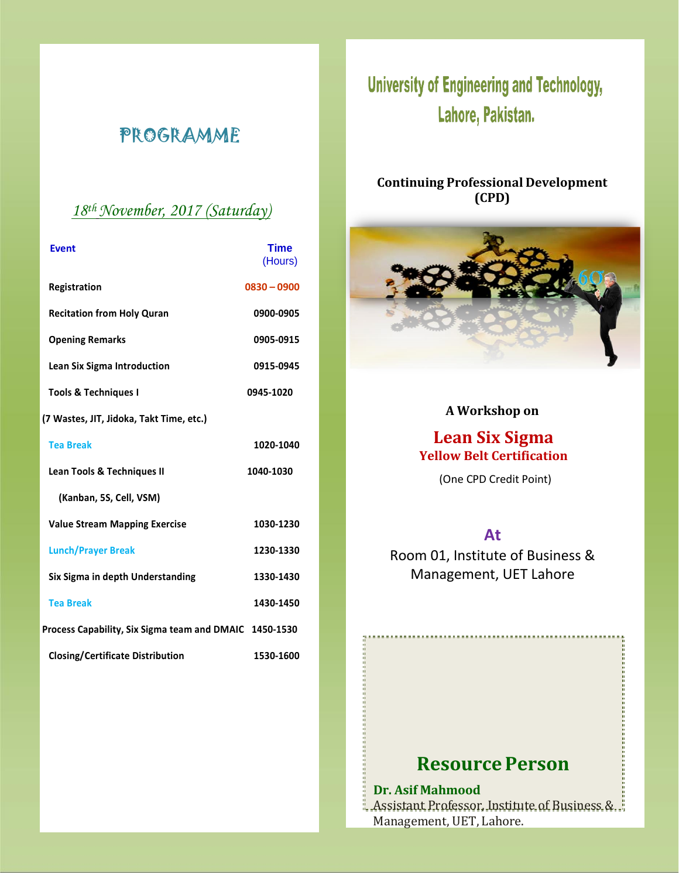# PROGRAMME

### *18 th November, 2017 (Saturday)*

| <b>Event</b>                                           | <b>Time</b><br>(Hours) |
|--------------------------------------------------------|------------------------|
| Registration                                           | $0830 - 0900$          |
| <b>Recitation from Holy Quran</b>                      | 0900-0905              |
| <b>Opening Remarks</b>                                 | 0905-0915              |
| Lean Six Sigma Introduction                            | 0915-0945              |
| <b>Tools &amp; Techniques I</b>                        | 0945-1020              |
| (7 Wastes, JIT, Jidoka, Takt Time, etc.)               |                        |
| <b>Tea Break</b>                                       | 1020-1040              |
| <b>Lean Tools &amp; Techniques II</b>                  | 1040-1030              |
| (Kanban, 5S, Cell, VSM)                                |                        |
| <b>Value Stream Mapping Exercise</b>                   | 1030-1230              |
| <b>Lunch/Prayer Break</b>                              | 1230-1330              |
| Six Sigma in depth Understanding                       | 1330-1430              |
| <b>Tea Break</b>                                       | 1430-1450              |
| Process Capability, Six Sigma team and DMAIC 1450-1530 |                        |
| <b>Closing/Certificate Distribution</b>                | 1530-1600              |

# **University of Engineering and Technology,** Lahore, Pakistan.

### **Continuing Professional Development (CPD)**



### **A Workshop on**

### **Lean Six Sigma Yellow Belt Certification**

(One CPD Credit Point)

### **At**

Room 01, Institute of Business & Management, UET Lahore

## **Resource Person**

### **Dr. Asif Mahmood**

Assistant Professor, Institute of Business & Management, UET, Lahore.